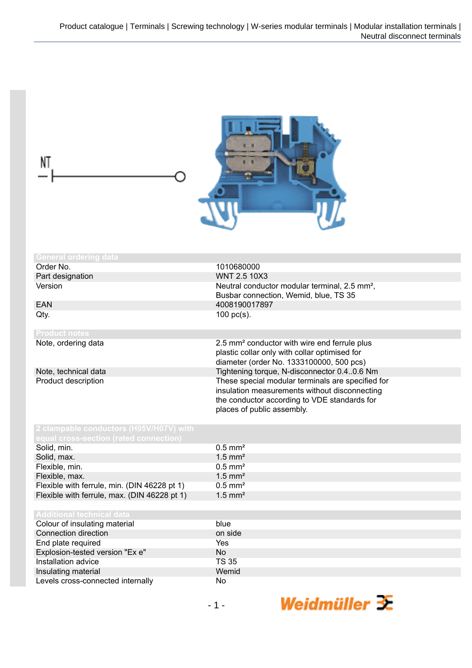| NT                                                                             |                                                                                                                                                                                                                                                                                                                                                                                          |
|--------------------------------------------------------------------------------|------------------------------------------------------------------------------------------------------------------------------------------------------------------------------------------------------------------------------------------------------------------------------------------------------------------------------------------------------------------------------------------|
| <b>General ordering data</b>                                                   |                                                                                                                                                                                                                                                                                                                                                                                          |
| Order No.                                                                      | 1010680000                                                                                                                                                                                                                                                                                                                                                                               |
| Part designation                                                               | <b>WNT 2.5 10X3</b>                                                                                                                                                                                                                                                                                                                                                                      |
| Version                                                                        | Neutral conductor modular terminal, 2.5 mm <sup>2</sup> ,<br>Busbar connection, Wemid, blue, TS 35                                                                                                                                                                                                                                                                                       |
| <b>EAN</b>                                                                     | 4008190017897                                                                                                                                                                                                                                                                                                                                                                            |
| Qty.                                                                           | 100 $pc(s)$ .                                                                                                                                                                                                                                                                                                                                                                            |
| <b>Product notes</b>                                                           |                                                                                                                                                                                                                                                                                                                                                                                          |
| Note, ordering data<br>Note, technical data<br>Product description             | 2.5 mm <sup>2</sup> conductor with wire end ferrule plus<br>plastic collar only with collar optimised for<br>diameter (order No. 1333100000, 500 pcs)<br>Tightening torque, N-disconnector 0.40.6 Nm<br>These special modular terminals are specified for<br>insulation measurements without disconnecting<br>the conductor according to VDE standards for<br>places of public assembly. |
| 2 clampable conductors (H05V/H07V) with<br>qual cross-section (rated connectio |                                                                                                                                                                                                                                                                                                                                                                                          |
| Solid, min.                                                                    | $0.5$ mm <sup>2</sup>                                                                                                                                                                                                                                                                                                                                                                    |
| Solid, max.                                                                    | $1.5$ mm <sup>2</sup>                                                                                                                                                                                                                                                                                                                                                                    |
| Flexible, min.                                                                 | $0.5$ mm <sup>2</sup>                                                                                                                                                                                                                                                                                                                                                                    |
| Flexible, max.                                                                 | $1.5$ mm <sup>2</sup>                                                                                                                                                                                                                                                                                                                                                                    |
| Flexible with ferrule, min. (DIN 46228 pt 1)                                   | $0.5$ mm <sup>2</sup>                                                                                                                                                                                                                                                                                                                                                                    |
| Flexible with ferrule, max. (DIN 46228 pt 1)                                   | $1.5$ mm <sup>2</sup>                                                                                                                                                                                                                                                                                                                                                                    |
| <b>Additional technical data</b>                                               |                                                                                                                                                                                                                                                                                                                                                                                          |
| Colour of insulating material                                                  | blue                                                                                                                                                                                                                                                                                                                                                                                     |
| Connection direction                                                           | on side                                                                                                                                                                                                                                                                                                                                                                                  |
| End plate required                                                             | Yes                                                                                                                                                                                                                                                                                                                                                                                      |
| Explosion-tested version "Ex e"                                                | <b>No</b>                                                                                                                                                                                                                                                                                                                                                                                |
| Installation advice                                                            | <b>TS 35</b>                                                                                                                                                                                                                                                                                                                                                                             |
| Insulating material                                                            | Wemid                                                                                                                                                                                                                                                                                                                                                                                    |
| Levels cross-connected internally                                              | No                                                                                                                                                                                                                                                                                                                                                                                       |
|                                                                                | Weidmüller $\mathcal{F}$<br>$-1-$                                                                                                                                                                                                                                                                                                                                                        |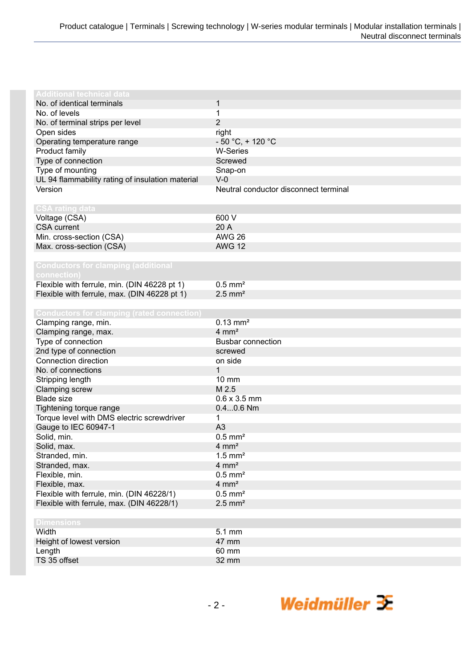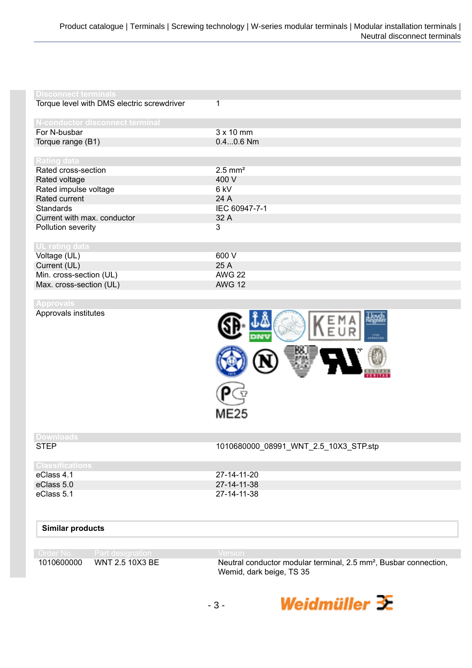| <b>Disconnect terminals</b>                     |                                                                              |
|-------------------------------------------------|------------------------------------------------------------------------------|
| Torque level with DMS electric screwdriver      | 1                                                                            |
|                                                 |                                                                              |
| N-conductor disconnect terminal<br>For N-busbar | $3 \times 10$ mm                                                             |
| Torque range (B1)                               | $0.40.6$ Nm                                                                  |
|                                                 |                                                                              |
| Rating data                                     |                                                                              |
| Rated cross-section                             | $2.5$ mm <sup>2</sup>                                                        |
| Rated voltage                                   | 400 V                                                                        |
| Rated impulse voltage                           | 6 kV                                                                         |
| Rated current                                   | 24 A                                                                         |
| <b>Standards</b>                                | IEC 60947-7-1                                                                |
| Current with max. conductor                     | 32 A                                                                         |
| Pollution severity                              | 3                                                                            |
| UL rating data                                  |                                                                              |
| Voltage (UL)                                    | 600 V                                                                        |
| Current (UL)                                    | 25 A                                                                         |
| Min. cross-section (UL)                         | <b>AWG 22</b>                                                                |
| Max. cross-section (UL)                         | <b>AWG 12</b>                                                                |
| <b>Approvals</b>                                |                                                                              |
| Approvals institutes                            | $\frac{1}{2}$<br>ME25                                                        |
| <b>Downloads</b>                                |                                                                              |
| <b>STEP</b>                                     | 1010680000_08991_WNT_2.5_10X3_STP.stp                                        |
| <b>Classifications</b>                          |                                                                              |
| eClass 4.1                                      | 27-14-11-20                                                                  |
| eClass 5.0                                      | 27-14-11-38                                                                  |
| eClass 5.1                                      | 27-14-11-38                                                                  |
| <b>Similar products</b>                         |                                                                              |
| Order No.<br>Part designation                   | Version                                                                      |
| 1010600000<br>WNT 2.5 10X3 BE                   | Neutral conductor modular terminal, 2.5 mm <sup>2</sup> , Busbar connection, |
|                                                 | Wemid, dark beige, TS 35                                                     |